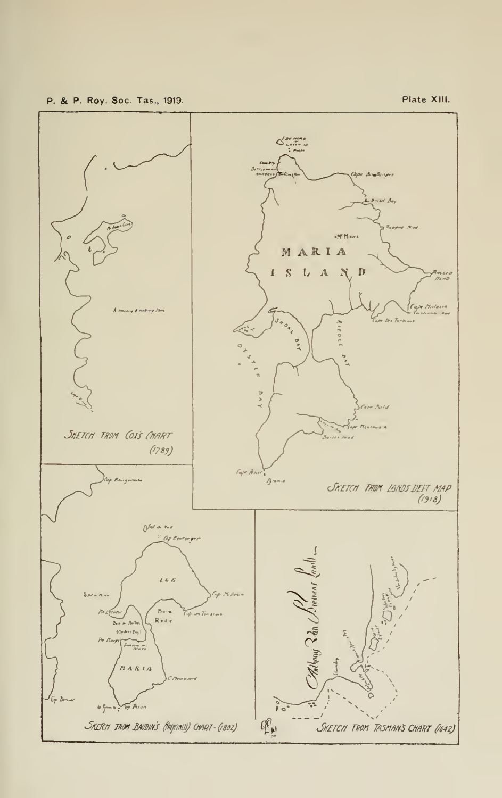p. & p. Roy. Soc. Tas., 1919.

Plate XIII.

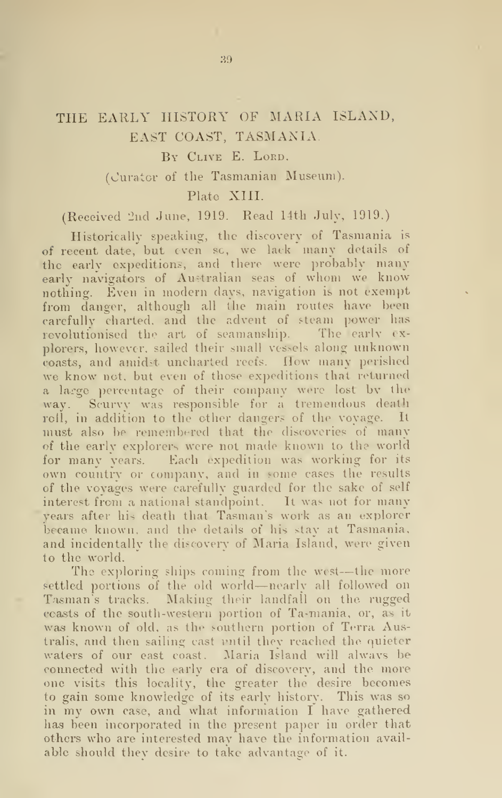# THE EARLY HISTORY OF MARIA ISLAND, EAST COAST, TASMANIA.

## By Clive E. Lord.

(Curator of the Tasmanian Museum).

#### Plato XIII.

(Received 2nd June, 1919. Read 14th July, 1919.)

Historically speaking, the discovery of Tasmania is of recent date, but even so, we lack many details of the early expeditions, and there were probably many early navigators of Australian seas of whom we know nothing. Even in modern days, navigation is not exempt from danger, although all the main routes have been carefully charted, and the advent of steam power has revolutionised the art of seamanship. The early explorers, however, sailed their small vessels along unknown coasts, and amidst uncharted reefs. How many perished we know not, but even of those expeditions that returned a large percentage of their company were lost bv the way. Scurvy was responsible for a tremendous death roll, in addition to the other dangers of the voyage. It must also be remembered that the discoveries of many of the early explorers were not made known to the world for many vears. Each expedition was working for its own country or company, and in some cases the results of the voyages were carefully guarded for the sake of self interest from a national standpoint. It was not for many years after his death that Tasman's work as an explorer became known, and the details of his stay at Tasmania, and incidentally the discovery of Maria Island, were given to the world.

The exploring ships coming from the west---the more settled portions of the old world—nearly all followed on Tasmans tracks. Making their landfall on the rugged coasts of the south-western portion of Ta-mania, or, as it wag known of old, as the southern portion of Terra Australis, and then sailing cast until they reached the quieter waters of our east coast. Maria Island will alwavs be connected with the early era of discovery, and the more one visits this locality, the greater the desire becomes to gain some knowledge of its early history. This was so in my own case, and what information <sup>I</sup> have gathered has been incorporated in the present paper in order that others who are interested may have the information available should thev desire to take advantage of it.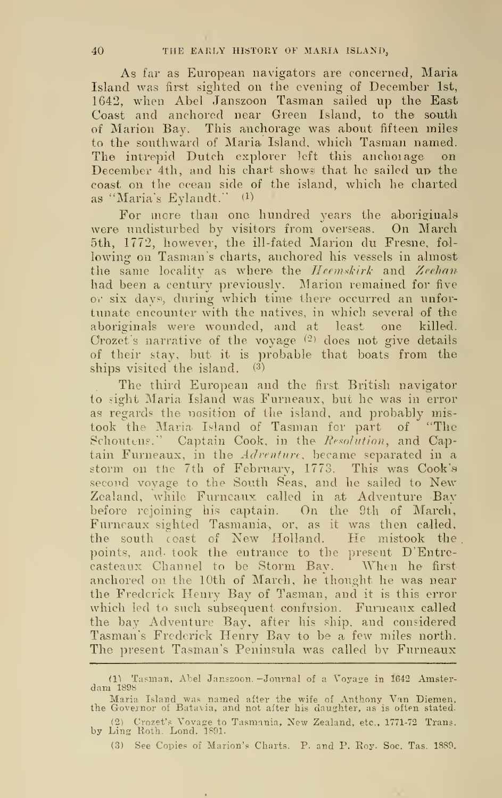As far as European navigators are concerned, Maria Island was first sighted on the evening of December 1st, 1642, when Abel Janszoon Tasman sailed up the East Coast and anchored near Green Island, to the south of Marion Bay. This anchorage was about fifteen miles to the southward of Maria Island, which Tasmau named. The intrepid Dutch explorer left this anchoiage December 4th, and his chart shows that he sailed up the coast on the ocean side of the island, which he charted as "Maria's Eylandt." (1)

For more than one hundred years the aboriginals were undisturbed by visitors from overseas. On March 5th, 1772, however, the ill-fated Marion du Fresne, fol lowing on Tasman's charts, anchored his vessels in almost the same locality as where the *Heemskirk* and Zeehan had been a century previously. Marion remained for five or six days', during which time there occurred an unfor tunate encounter with the natives, in which several of the aboriginals were wounded, and at least one killed. Crozet's narrative of the voyage  $(2)$  does not give details of their stay, but it is probable that boats from the ships visited the island.  $(3)$ 

The third European and the first British navigator to sight Maria. Island was Furneaux, but he was in error as regards the position of the island, and probably mistook the Maria. Island of Tasman for part of "The Schoutens." Captain Cook, in the Resolution, and Captain Furneaux, in the Adrenture, became separated in a storm on the 7th of February, 1773. This was Cook'a second voyage to the South Seas, and he sailed to New Zealand, while Furneaux called in at Adventure Bay before rejoining his captain. On the 9th of March, Furneaux sighted Tasmania, or, as it was then called, the south coast of New Holland. He mistook the , points, and- took the entrance to the present D'Entrecasteaux Channel to be Storm Bay. When he first anchored on the 10th of March, he thought he was near the Frederick Henry Bay of Tasman, and it is this error which led to such subsequent confusion. Furneaux called the bay Adventure Bay, after his ship, and considered Tasman's Frederick Henry Bay to be a few miles north. The present Tasman's Peninsula was called by Furneaux

<sup>(1)</sup> Tasman, Abel Janszoon. –Journal of a Voyage in 1642 Amster-dam 1898

Maria Island was named after the wife of Anthony Van Diemen,<br>the Governor of Batavia, and not after his daughter, as is often stated.

<sup>[1]</sup> Crozet's Voyage to Tasm.inia, New Zealand, etc., 1771-72 Trans, by Ling Roth. Lond. 1891.

<sup>(3)</sup> See Copies of Marion's Charts. P. and P. Eoy. Soc. Tas. 1889.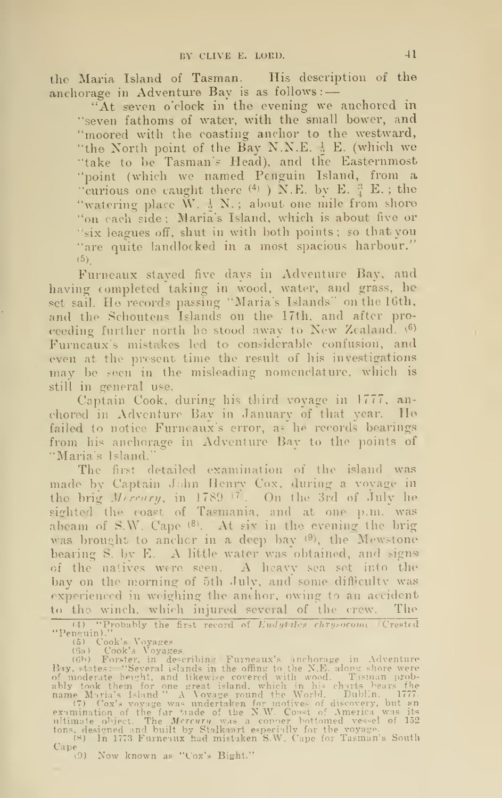the Maria Island of Tasman. His description of the anchorage in Adventure Bay is as follows: -

"At seven o'clock in the evening we anchored in "seven fathoms of water, with the small bower, and "moored with the coasting anchor to the westward, "the North point of the Bay N.N.E.  $\frac{1}{2}$  E. (which we "take to be Tasman's Head), and the Easternmost "point (which we named Penguin Island, from a "curious one caught there  $(4)$  ) N.E. by E.  $^{3}_{4}$  E.; the "watering place W. 1 N.; about one mile from shore "on each side; Maria's Island, which is about five or "six leagues off, shut in with both points; so that you "are quite landlocked in a most spacious harbour."  $(5)$ 

Furneaux stayed five days in Adventure Bay, and having completed taking in wood, water, and grass, he set sail. He records passing "Maria's Islands" on the 16th, and the Schoutens Islands on the 17th, and after pro ceeding further north he stood away to New Zealand.  $^{(6)}$ Furncaux's mistakes led to considerable confusion, and even at the present time the result of his investigations may be seen in the misleading nomenclature, which is still in general use.

Captain Cook, during his third voyage in 1777, an chored in Adventure Bay in January of that year. He failed to notice Furneaux's error, as he records bearings from his anchorage in Adventure Bay to the points of "Maria's Island."

The first detailed examination of the island was made by Captain John Heniy Cox, during a voyage in the brig Mercury, in 1789 '<sup>7</sup>. On the 3rd of July he sighted the coast of Tasmania, and at one p.m. was abeam of S.W. Cape  $(8)$ . At six in the evening the brig was brought to anchor in a deep bay  $(\theta)$ , the Mewstone bearing S. by E. A little water was obtained, and signs of the natives were seen. A heavy sea set into the bay on the morning of 5th July, and some difficulty was experienced in weighing the anchor, owing to an accident to tho winch, which injured several of the crew. The

(4) "Probably the first record of Eudytiles chrysocome (Crested<br>
"Peneuin)."<br>
(5) Cook's Voyages.<br>
(6) Cook's Voyages.<br>
(6) Forster, in decribing Furneaux's inchorage in Adventure<br>
(6) Forster, in decribing Furneaux's inc

Cape. \*9) Now known as "Cox's Bight."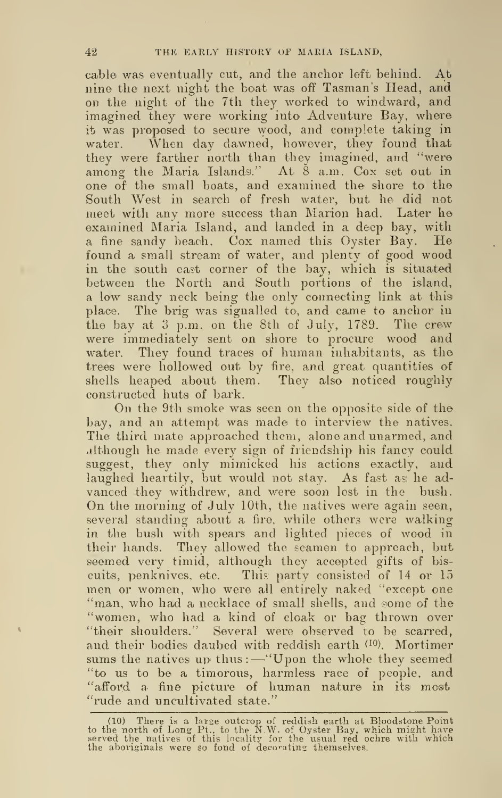cable was eventually cut, and the anchor left behind. At nine the next night the boat was off Tasman's Head, and on the night of the 7th they worked to windward, and imagined they were working into Adventure Bay, where it was proposed to secure wood, and complete taking in water. When day dawned, however, they found that they were farther north than they imagined, and "were among the Maria Islands." At  $\check{8}$  a.m. Cox set out in one of tlie small boats, and examined the shore to the South West in search of fresh water, but he did not meet with any more success than Marion had. Later he examined Maria Island, and landed in a deep bay, with <sup>a</sup> fine sandy beach. Cox named this Oyster Bay. He found a small stream of water, and plenty of good wood in the south east corner of the bay, which is situated between the North and South portions of the island, a low sandy neck being the only connecting link at this place. The brig was signalled to, and came to anchor in the bay at <sup>3</sup> p.m. on the 8th of July, 1789. The crew were immediately sent on shore to procure wood and water. They found traces of human inhabitants, as the trees were hollowed out by fire, and great quantities of shells heaped about them. They also noticed roughly constructed huts of bark.

On the 9th smoke was seen on the opposite side of the bay, and an attempt was made to interview the natives. The third mate approached them, alone and unarmed, and although he made every sign of friendship his fancy could suggest, they only mimicked his actions exactly, and laughed heartily, but would not stay. As fast as he advanced they withdrew, and were soon lost in the bush. On the morning of July 10th, the natives were again seen, several standing about a fire, while others were walking in the bush with spears and lighted pieces of wood in their hands. They allowed the seamen to approach, but seemed very timid, although they accepted gifts of bis cuits, penknives, etc. This party consisted of 14 or 15 men or women, who were all entirely naked "except one "man, who had a necklace of small shells, and some of the "women, who had a kind of cloak or bag thrown over "their shoulders." Several were observed to be scarred, and their bodies daubed with reddish earth <sup>(10)</sup>. Mortimer sums the natives up thus: - "Upon the whole they seemed "to us to be a timorous, harmless race of people, and "afford a fine picture of human nature in its most "rude and uncultivated state."

<sup>(10)</sup> There is a large outcrop of reddish earth at Bloodstone Point<br>to the north of Long Pt., to the N.W. of Oyster Bay, which might have<br>served the natives of this locality for the usual red ochre with which<br>the aboriginal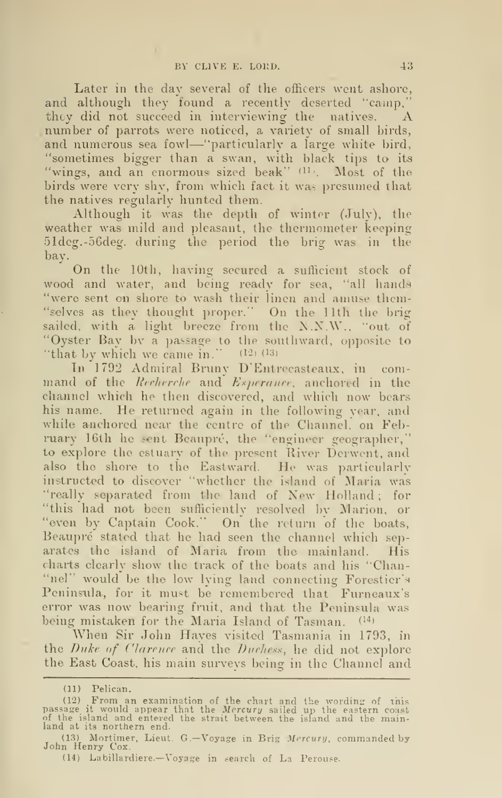Later in the day several of the officers went ashore, and although they found a recently deserted "camp," they did not succeed in interviewing the natives. A number of parrots were noticed, a variety of small birds, and numerous sea fowl—"particularly <sup>a</sup> large white bird, "sometimes bigger than a swan, with black tips to its "wings, and an enormous sized beak" (11). Most of the birds were very shy, from which fact it was presumed that the natives regularly hunted them.

Although it was the depth of winter (July), the weather was mild and pleasant, the thermometer keeping 51deg.-56deg. during the period the brig was in the bay.

On the 10th, having secured a sufficient stock of wood and water, and being ready for sea, "all hands "were sent on shore to wash their linen and amuse thcm- "selves as they thought proper." On the 11th the brig sailed, with a light breeze from the  $N.N.W.,$  "out of "Oyster Bay bv a passage to the southward, opposite to "that by which we came in."  $(12)$   $(13)$ 

In 1792 Admiral Bruny D'Entrecast^aux, in com mand of the Recherche and Esperance, anchored in the channel which he then discovered, and which now bears his name. He returned again in the following year, and while anchored near the centre of the Channel, on February 16th he sent Beaupré, the "engineer geographer," – to explore the estuary of the present River Derwcnt, and also the shore to the Eastward. He was particularlv instructed to discover "whether the island of Maria was "really separated from the land of New Holland; for "this had not been sufficiently resolved bv Marion, or "even by Captain Cook." On the return of the boats, Beaupré stated that he had seen the channel which separates the island of Maria from the mainland. His charts clearly show the track of the boats and his "Chan- "nel" would be the low lying land connecting Forestier's Peninsula, for it must be remembered that Furneaux's error was now bearing fruit, and that the Peninsula was being mistaken for the Maria Island of Tasman. (14)

When Sir John Hayes visited Tasmania in 1793, in the Duke of Clarence and the Duchess, he did not explore the East Coast, his main surveys being in the Channel and

<sup>(11)</sup> Pelican.

<sup>(12)</sup> From an examination of the chart and the wording of this<br>passage it would appear that the *Mercury* sailed up the eastern coast<br>of the island and entered the strait between the island and the main-<br>land at its norther

<sup>(13)</sup> Mortimer, Lieut. G.—Voyage in Brig Mercury, commanded by John Henry Cox.

<sup>(14)</sup> Labillardiere.—Voyage in search of La Perouse.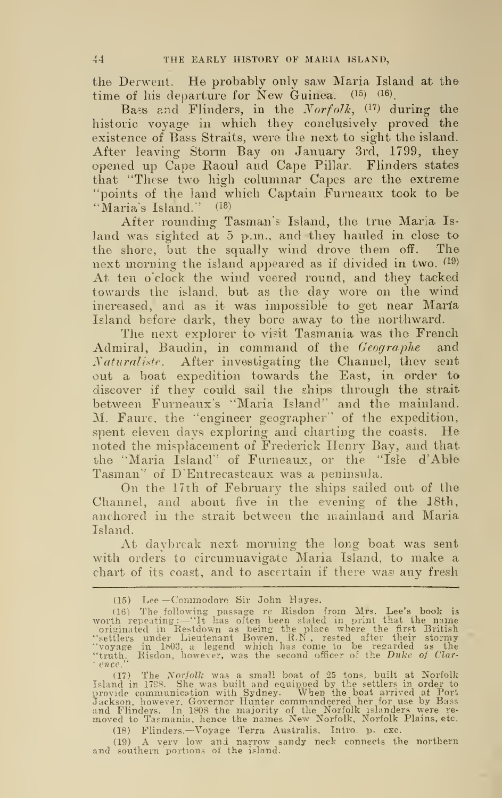the Derwent. He probably only saw Maria Island at the time of his departure for New Guinea.  $(15)$   $(16)$ .

Bass and Flinders, in the  $Norfolk$ ,  $(17)$  during the historic voyage in which they conclusively proved the existence of Bass Straits, were the next to sight the island. After leaving Storm Bay on January 3rd, 1799, they opened up Cape Raoul and Cape Pillar. Flinders states that "These two' high columnar Capes are the extreme "points of the land which Captain Furneaux took to be "Maria's Island." (18)

After rounding Tasman's Island, the true Maria Is land was sighted at 5 p.m., and they hauled in close to the shore, but the squally wind drove them off. The next morning the island appeared as if divided in two.  $^{(19)}$ At ten o'clock the wind veered round, and they tacked towards the island, but as the day wore on the wind increased, and as it was impossible to get near Maria Island before dark, they bore away to the northward.

The next explorer to visit Tasmania was the French Admiral, Baudin, in command of the Geographe and Naturaliste. After investigating the Channel, they sent out a boat expedition towards the East, in order to discover if they could sail the ships through the strait between Furneaux's "Maria Island" and the mainland. M. Faure, the "engineer geographer" of the expedition, spent eleven days exploring and charting the coasts. He noted the misplacement of Frederick Henry Bay, and that, the "Maria Island" of Furneaux, or the "Isle d'Able Tasman" of D'Entrecasteaux was a peninsula.

On the 17th of February the ships sailed out of the Channel, and about five in the evening of the 18th, anchored in the strait between the mainland and Maria Island.

At daybreak next morning the long boat was sent with orders to circumnavigate Maria Island, to make a chart of its coast, and to ascertain if there was any fresh

(17) The *Norfolk* was a small boat of 25 tons, built at Norfolk<br>Island in 1788. She was built and equipped by the settlers in order to<br>provide communication with Sydney. When the boat arrived at Port<br>Jackson, however, Gov

(18) Flinders. —Voyage Terra Australis. Intro, p. cxc.

(19) <sup>A</sup> vprv low and narrow sandy neck connects the northern and southern portions of the island.

<sup>(15)</sup> Lee —Commodore Sir John Haye?.

<sup>(16)</sup> The following passage rc Risdon from Mrs. Lee's book is<br>worth repeating:—"It has often been stated in print that the name<br>originated in Restdown as being the place where the first British<br>"settlers under Lieutenant B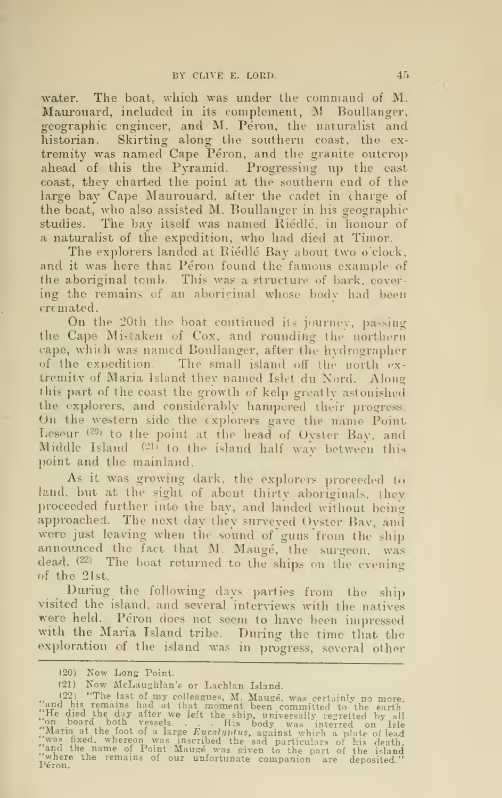water. The boat, which was under the command of M. Maurouard, included in its complement, M. Boullanger, geographic engineer, and M. Péron, the naturalist and historian. Skirting along the southern coast, the ex tremity was named Cape Péron, and the granite outcrop ahead of this the Pyramid. Progressing up the east coast, they charted the point at the southern end of the large bay Cape Maurouard, after the cadet in charge of the boat, who also assisted M. Boullanger in his geographic studies. The bay itself was named Riedle, in honour of a naturalist of the expedition, who had died at Timor.

The explorers landed at Riedle Bay about two o'clock, and it was here that Péron found the famous example of the aboriginal tomb. This was a structure of bark, cover ing the remains of an aboriginal whose bodv had been cremated.

On the 20th the boat continued its journey, passing the Cape Mistaken of Cox, and rounding the northern cape, which was named Boullanger, after the hvdrographcr of the expedition. The small island off the north ex tremity of Maria Island they named Islet du Nord. Along this part of the coast the growth of kelp greatly astonished<br>the explorers, and considerably hampered their progress. On the western side the explorers gave the name Point Leseur (20) to the point at the head of Oyster Bay, and Middle Island (21) to the island half way between this point and the mainland.

As it was growing dark, the explorers proceeded to land, but at the sight of about thirty aboriginals, thev proceeded further into the bay, and landed without being approached. The next day they surveyed Oyster Bay, and were just leaving when the sound of guns from the ship announced the fact that M. Mauge, the surgeon, was dead. (22) The boat returned to the ships on the evening of the 21st.

During the following days parties from the ship visited the island, and several interviews with the natives were held. Péron does not seem to have been impressed with the Maria Island tribe. During the time that the exploration of the island was in progress, several other

<sup>(20)</sup> Now Lons Point.

<sup>(21)</sup> Now McLaughlan's or Lachlan Island.

<sup>(21)</sup> Now McLaughlan's or Lachlan Island.<br>
(22) "The last of my colleagues, M. Mauge, was certainly no more,<br>
"and his remains had at that moment been committed to the earth<br>
"He died the day after we left the ship, univer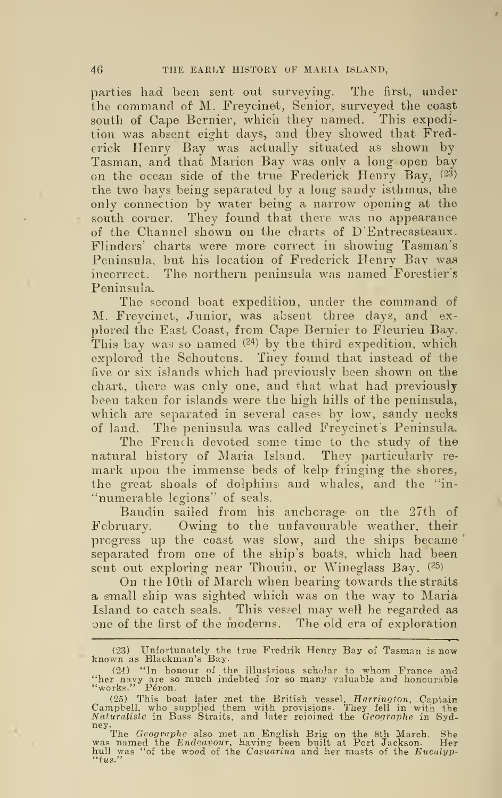parties had been sent out surveying. The first, under the command of M. Freycinet, Senior, surveyed the coast south of Cape Bernier, which they named. This expedition was absent eight days, and they showed that Frederick Henry Bay was actually situated as shown by Tasman, and that Marion Bay was only a long open bay on the ocean side of the true Frederick Henry Bay, (23) the two bays being separated by a long sandy isthmus, the only connection by water being a narrow opening at the south corner. They found that there was no appearance of the Channel shown on the charts of D'Entrecasteaux. Flinders' charts were more correct in sliowing Tasman's Peninsula, but his location of Frederick Henry Bay was incorrect. The northern peninsula was named Forestier's Peninsula.

The second boat expedition, under the command of M. Freycinet, Junior, was absent three days, and ex plored the East Coast, from Cape Bernier to Fleurieu Bay. This bay was so named  $(24)$  by the third expedition, which explored the Schoutens. They found that instead of the five or six islands which had previously been shown on the chart, there was only one, and that what had previously been taken for islands were the high hills of the peninsula, which are separated in several cases by low, sandy necks of land. The peninsula was called Freycinet's Peninsula.

The French devoted some time to the study of the natural history of Maria Island. They particularly re mark upon the immense beds of kelp fringing the shores, the great shoals of dolphins and whales, and the "in-"numerable legions" of seals.

Baudin sailed from his anchorage on the 27th of February. Owing to the unfavourable weather, their progress up the coast was slow, and the ships became' separated from one of the ship's boats, which had been sent out exploring near Thouin, or Wineglass Bay. (25)

On the 10th of March when bearing towards the straits a small ship was sighted which was on the way to Maria Island to catch seals. This vessel may well be regarded as one of the first of the moderns. The old era of exploration

<sup>(23)</sup> Unfortunately the true Fredrik Henry Bay of Tasman :s now known as Blackman's Bay.

<sup>(24) &</sup>quot;In honour of the illustrious scholar to whom France and<br>"her navy are so much indebted for so many valuable and honourable<br>"works." Péron.

<sup>(25)</sup> This boat later met the British vessel, *Harrington*, Captain<br>Campbell, who supplied them with provisions. They fell in with the<br>Naturaliste in Bass Straits, and later rejoined the Gcographe in Syd-

ney.<br>The Geographe also met an English Brig on the 8th March. She<br>was named the Endeavour, having been built at Port Jackson. Her<br>"tus." of the wood of the Casuarina and her masts of the Eucalyp-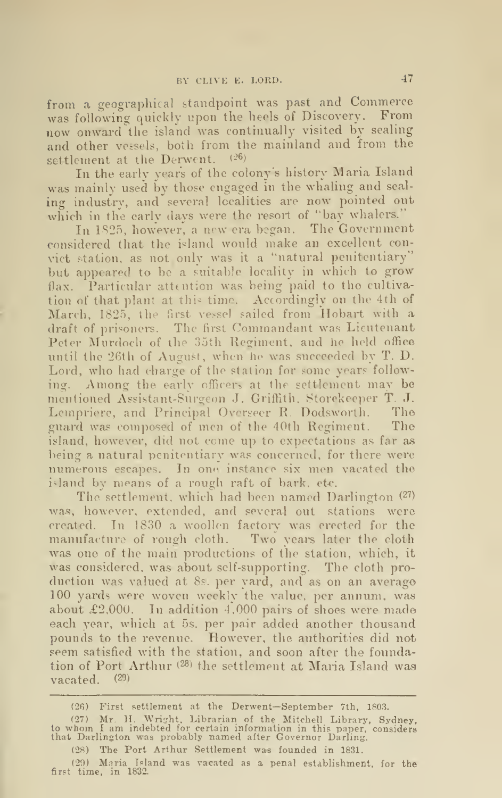from <sup>a</sup> geographical standpoint was past and Commerce was following quickly upon the heels of Discovery. From now onward the island was continually visited by sealing and other vessels, both from the mainland and from the settlement at the Derwent.  $(26)$ 

In the early years of the colony's history Maria Island was mainly used by those engaged in the whaling and sealing industry, and several localities are now pointed out which in the early days were the resort of "bay whalers."

In 1S25, however, a new era began. The Government considered that the island would make an excellent convict station, as not only was it a "natural penitentiary" but appeared to be a suitable locality in which to grow flax. Particular attention was being paid to the cultiva tion of that plant at this time. Accordingly on the 4th of March, 1825, the first vessel sailed from Hobart with a draft of prisoners. The first Commandant was Lieutenant Peter Murdoch of the 35th Regiment, and he held office until the 26th of August, when he was succeeded by T. D. Lord, who had charge of the station for some years following. Among the early officers at the settlement may be mentioned Assistant-Surgeon J. Griffith. Storekeeper T. J. Lcmpinere, and Principal Overseer R. Dodsworth. The guard was composed of men of the 40th Regiment. The island, however, did not come up to expectations as far as being a natural penitentiary was concerned, for there were numerous escapes. In one instance six men vacated the island by means of a rough raft of bark, etc.

The settlement, which had been named Darlington <sup>(27)</sup> was, however, extended, and several out stations were created. In 1830 a woollen factory was erected for the manufacture of rough cloth. Two years later the cloth was one of the main productions of the station, which, it was considered, was about self-supporting. The cloth pro duction was valued at 8s. per yard, and as on an average 100 yards were woven weekly the value, per annum, was about £2.000. In addition 4,000 pairs of shoes were made each year, which at 5s. per pair added another thousand pounds to the revenue. However, the authorities did not seem satisfied with the station, and soon after the foundation of Port Arthur (28) the settlement at Maria Island was vacated.  $(29)$ 

- (26) First settlement at the Derwent—September 7th, 1803.
- (27) Mr. H. Wright, Librarian of the Mitchell Library, Sydney,<br>to whom I am indebted for certain information in this paper, considers<br>that Darlington was probably named after Governor Darling.
	- (28) The Port Arthur Settlement was founded in 1831.

<sup>(20)</sup> Maria Island was vacated as a penal establishment, for the first time, in 1832.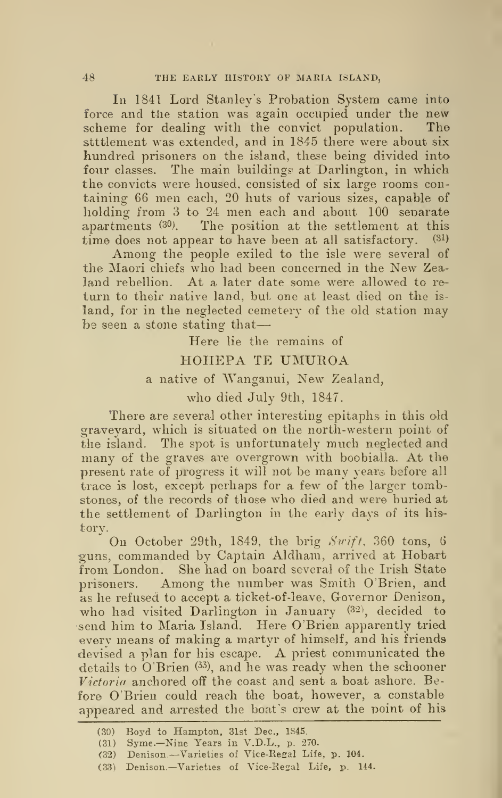In 1841 Lord Stanley's Probation System came into force and the station was again occupied under the new scheme for dealing with the convict population. The stttlement was extended, and in 1845 there were about six hundred prisoners on the island, these being divided into four classes. The main buildings at Darlington, in which the convicts were housed, consisted of six large rooms con taining 66 men each, 20 huts of various sizes, capable of holding from <sup>3</sup> to 24 men each and about 100 senarate apartments (30). The position at the settlement at this time does not appear to have been at all satisfactory. (31) Among the people exiled to the isle were several of

the Maori chiefs who had been concerned in the New Zea land rebellion. At a later date some were allowed to re turn to their native land, but one at least died on the is land, for in the neglected cemetery of the old station may be seen a stone stating that

> Here lie the remains of HOHEPA TE UMUROA <sup>a</sup> native of Wanganui, New Zealand, who died July 9th, 1847.

There are several other interesting epitaphs in this old graveyard, which is situated on the north-western point of the island. The spot is unfortunately much neglected and many of the graves are overgrown with boobialla. At the present rate of progress it will not be many years before all trace is lost, except perhaps for a few of the larger tombstones, of the records of those who died and were buried at the settlement of Darlington in the early days of its his torv.

On October 29th, 1849, the brig Swift, 360 tons, 6 guns, commanded by Captain Aldham, arrived at Hobart from London. She had on board several of the Irish State prisoners. Among the number was Smith O'Brien, and as he refused to accept a ticket-of-leave, Governor Denison, who had visited Darlington in January (32), decided to send him to Maria Island. Here O'Brien apparently tried every means of making a martyr of himself, and his friends devised <sup>a</sup> plan for his escape. A priest communicated the details to  $\hat{O}$  Brien  $(33)$ , and he was ready when the schooner Victoria anchored off the coast and sent a boat ashore. Before O'Brien could reach the boat, however, a constable appeared and arrested the boat's crew at the point of his

<sup>(30)</sup> Boyd to Hampton, 31st Dec, 1845.

<sup>(31)</sup> Syme.—Nine Years in V.D.L., p. 270.

<sup>(32)</sup> Denison. —Varieties of Vice-Resal Life, p. 104.

<sup>(33)</sup> Denison. —Varieties of Vice-Eesal Life, p. 144.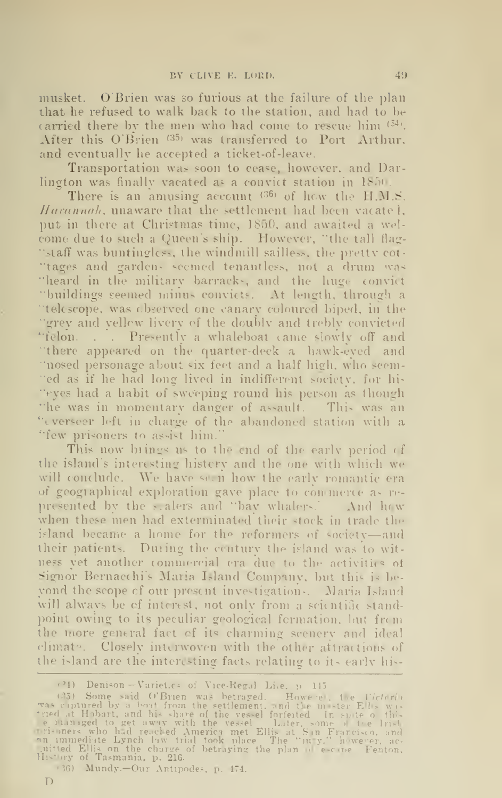musket. O'Brien was so furious at the failure of the plan that he refused to walk back to the station, and had to be carried there by the men who had come to rescue him  $(34)$ . After this O'Brien '35» was transferred to Port Arthur, and eventually he accepted a ticket-of-leave.

Transportation was soon to cease, however, and Darlington was finally vacated as a convict station in 1850.

There is an amusing account  $^{(36)}$  of how the H.M.S. Harannah, unaware that the settlement had been vacatel, put in there at Christmas time, 1850. and awaited a wel come due to such a Queen's ship. However, "the tall flag- "staff was buntingless, the windmill sailless, the pretty cot-"tages and gardens seemed tenantless, not a drum was "heard in the military barracks, and the huge convict "buildings seemed minus convicts. At length, through a "telescope, was observed one canary coloured biped, in the grey and yellow livery of the doublv and treblv convicted "felon. . . Presently a whaleboat came slowly off and 'there appeared on the quarter-deck a hawk-eyed and "nosed personage about six feet and a half high, who seeni- 'ed as if he had long lived in indifferent society, for his "eyes had a habit of sweeping round his person as though "he was in momentary danger of assault. This was an "everseer left in charge of the abandoned station with a "few prisoners to ass-ist him."

This now brings us to the end of the early period of the islands interesting history and the one with which we will conclude. We have seen how the early romantic era of geographical exploration gave place to commerce as re presented by the scalers and "bav whalers.' And how when these men had exterminated their stock in trade the island became a home for the reformers of society-and their patients. During the century the island was to witness yet another commercial era due to the activities of Signor Bernacchi's Maria Island Company, but this is bevond the scope of our present investigations. Maria Island will always be of interest, not only from a scientific standpoint owing to its peculiar geological formation, but from the more general fact of its charming scenery and ideal climate. Closely interwoven with the other attractions of the island are the interesting facts relating to its early his-

<sup>(24)</sup> Denison-Varieties of Vice-Regal Life, p 145.

<sup>•</sup> 35) Some said O'Brien was betrayed. However, the Viciorin Tas L-aptured by <sup>a</sup> heat from the settlement, and the master Ellis was tried at Hobart, and his share of the vessel forfeited. In spite of this<br>Te managed to get away with the vessel – Later, some of the Irish<br>rrisoners who had reached America met Ellis at San Francisco, and an immediate Lynch law trial took place. The "jury." however, ac- quitted Ellis on the charre of betraying the plan of escape. Fenton,<br>Juistony of Tasmania, p. 216.

<sup>&</sup>lt;36) Mundy.—Our Antipodes, p. 474.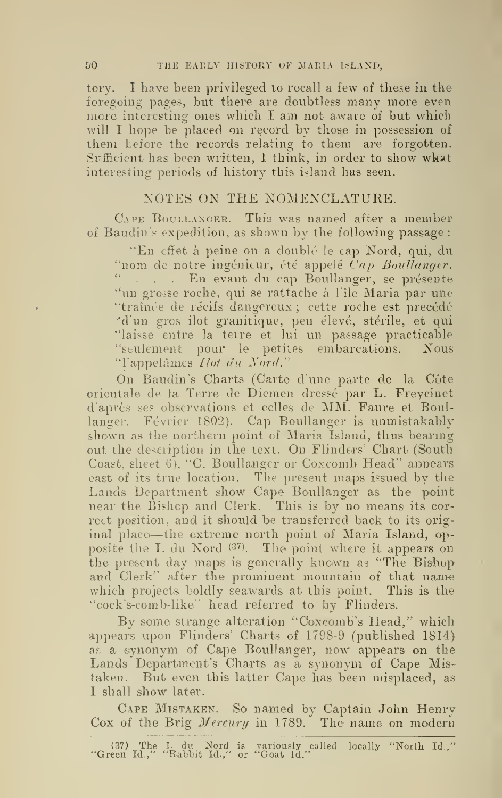tory. I have been privileged to recall a few of these in the foregoing pages, but there are doubtless many more even more interesting ones which  $I$  am not aware of but which will I hope be placed on record by those in possession of them before the records relating to them are forgotten. Sufficient has been written, I think, in order to show what interesting periods of history this island has seen.

### NOTES ON THE NOMENCLATURE.

CAPE BOULLANGER. This was named after a member of Baudin's expedition, as shown by the following passage:

"En cffet à peine on a doublé le cap Nord, qui, du<br>"nom de notre ingénieur, été appelé Cap Boullanger. " . . . En evant du cap Boullanger, se présente "un grosse roche, qui se rattache a File Maria par une "traînée de récifs dangereux; cette roche est precédé "d'un gros ilot granitique, peu élevé, stérile, et qui "laisse entre la terre et lui un passage practicable "seulement pour le petites embarcations. Nous "Tappelâmes Ilot du Nord."

On Baudin's Charts (Carte d'une parte de la Cote orientale de la Terre de Diemen dresse par L. Freycinet d'apres ses observations et celles de MM. Faure et Boullanger. Février 1802). Cap Boullanger is unmistakably shown as the northern point of Maria Island, thus bearing out the description in the text. On Flinders' Chart (South Coast, sheet 6), "C. Boullanger or Coxcomb Head " appears east of its true location. The present maps issued by the Lands Department show Cape Boullanger as the point near the Bishop and Clerk. This is by no means its correct position, and it should be transferred back to its orig inal place—the extreme north point of Maria Island, opposite the I. du Nord (37). The point where it appears on the present day maps is generally known as "The Bishop" and Clerk" after the prominent mountain of that name which projects boldly seawards at this point. This is the "cock's-comb-like" head referred to by Flinders.

By some strange alteration "Coxcomb's Head," which appears upon Flinders' Charts of 1798-9 (published 1814) as a synonym of Cape Boullanger, now appears on the Lands Department's Charts as a synonym of Cape Mistaken. But even this latter Cape has been misplaced, as I shall show later.

Cape Mistaken. So named by Captain John Henry Cox of the Brig Mercury in 1789. The name on modern

<sup>(37)</sup> The 1. du Nord is variously called locally "North Id.," "Green Id.," "Rabbit Id.," or "Goat Id."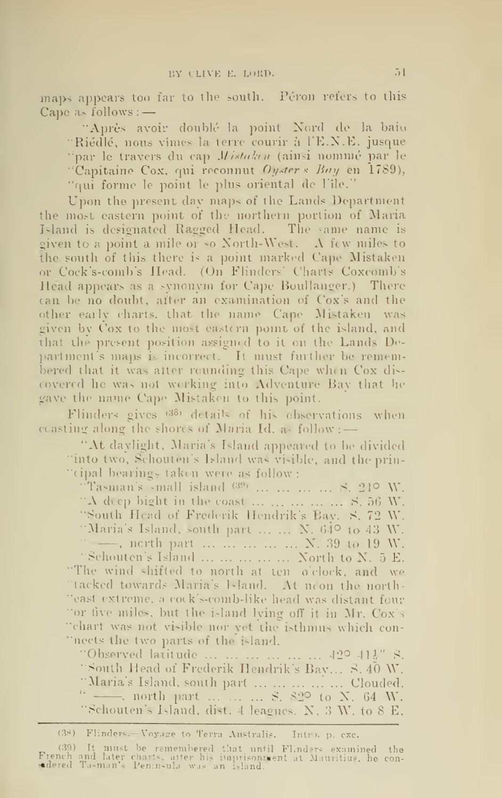maps appears too far to the south. Péron refers to this  $\Box$ <br>Cape as follows : —

"Après avoir doublé-la point Nord de la baio "Riédlé, nous vimes la terre courir à l'E.N.E. jusque "par le travers du cap Mistaken (ainsi nommé par le "Capitaine Cox, qui reconnut Oyster & Bay en 1789), "qui forme le point le plus oriental de l'île."

Upon the present day maps of the Lands Department the most eastern point of the northern portion of Maria Island is designated Ragged Head. The same name is given to <sup>a</sup> point <sup>a</sup> mile or so Xorth-West. A few miles to the south of this there is a point marked Cape Mistaken or Cock's-comb's Head. (On Flinders' Charts Coxcomb's Head appears as a synonym for Cape Boullanger.) There (an be no doubt, after an examination of Cox's and the other early charts, that the name Cape Mistaken was given by ('ox to the most eastern point of the island, and that the present position assigned to it on the Lands De partment's maps is incorrect. It must further be remembered that it was after rounding this Cape when Cox dis covered he was not working into Adventure Bav that lie gave the name Cape Mistaken to this point.

Flinders gives (38) details of his observations when coasting along the shores of Maria Id. as  $\text{follow} :=$ 

"At daylight, Maria's Island appeared to be divided "into two, Schouten's Island was visible, and the prin-"cipal bearings taken were as follow :

"Tasman's «mall island  $^{(39)}$  ... ... ... ... 8, 249 W. "A deep bight in the coast  $\dots \dots \dots \dots \dots$  S. 56 W. "South Head of Frederik Hendrik's Bay. S. 72 W. "Maria's Island, south part  $\dots$   $\dots$  N. 64 $\circ$  to 43 W. -, north part ... ... ... ... N. 39 to 19 W. "Schouten's Island ... ... ... ... North to N. 5 E. "The wind shifted to north at ten o'clock, and we "tacked towards Maria's Island. At noon the north-"east extreme, a cock's-comb-like head was distant four "or five miles, but the island lying off it in Mr. Cox's "chart was not visible nor yet the isthmus which con- "nects the two parts of the island.

"Observed latitude  $\ldots \ldots \ldots \ldots \ldots \ldots \hspace*{.1cm} 42^{\circ}$  41}" S. "South Head of Frederik Hendrik's Bay... S. 40 W. "Maria's Island, south part ... ... ... ... ... Clouded. " - north part ... ... ... S. 82° to X. 64 W. "Schouten's Island, dist. <sup>4</sup> leagues. X'. <sup>3</sup> W. to <sup>8</sup> E.

<sup>(38)</sup> Flinders.-Voyage to Terra Australis. Intro, p. cxc.

<sup>(39)</sup> It must be remembered that until Flinders examined the French and later chart«. alter his imprisonnient ut Mauritius, he con- aidered Tusman's Peninsula was an island.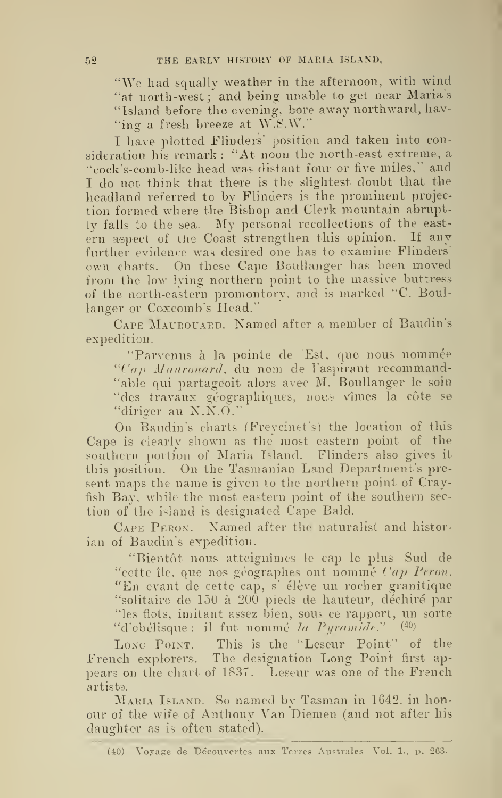"We had squally weather in the afternoon, with wind "at north-west; and being unable to get near Maria's "Island before the evening, bore away northward, hav- "ing a fresh breeze at W.S.W."

I have plotted Flinders' position and taken into consideration his remark : "At noon the north-east extreme, a "cock's-comb-like head was distant four or five miles," and I do not think that there is the slightest doubt that the headland referred to by Flinders is the prominent projection formed where the Bishop and Clerk mountain abruptly falls to the sea. My personal recollections of the east ern aspect of the Coast strengthen this opinion. If any further evidence was desired one has to examine Flinders' own charts. On these Cape Boullanger has been moved from the low Iving northern point to the massive buttress of the north-eastern promontory, and is marked "C. Boullanger or Coxcomb's Head."

CAPE MAUROUARD. Named after a member of Baudin's expedition.

"Parvenus à la pointe de 'Est, que nous nommée "Cap Maurouard, du nom de l'aspirant recommand-"able qui partageoit alors avec M. Boullanger le soin "des travaux géographiques, nous vîmes la côte se "diriger au N.N.O. '

On Baudin's charts (Freycinet's) the location of this Cape is clearly shown as the most eastern point of the southern portion of Maria Island. Flinders also gives it this position. On the Tasmanian Land Department's pre sent maps the name is given to the northern point of Crayfish Bay, while the most eastern point of the southern sec tion of the island is designated Cape Bald.

Cape Peron. Named after the naturalist and histor ian of Baudin's expedition.

"Bientôt nous atteignîmes le cap le plus Sud de "cette île, que nos géographes ont nommé  $Cap$  Peron. "En evant de cette cap, s' élève un rocher granitique "solitaire de 150 à 200 pieds de hauteur, déchiré par "les fiots, imitant assez bien, souis ce rapport, un sorte "d'obélisque : il fut nommé la Pyramide."  $(40)$ 

Long Point. This is the "Leseur Point" of the French explorers. The designation Long Point first ap pears on the chart of 1837. Leseur was one of the French artist?.

Maria Island. So named by Tasman in 1642, in honour of the wife of Anthony Van Diemen (and not after his daughter as is often stated).

<sup>(40)</sup> Voyage de Découvertes aux Terres Australes. Vol. 1., p. 263.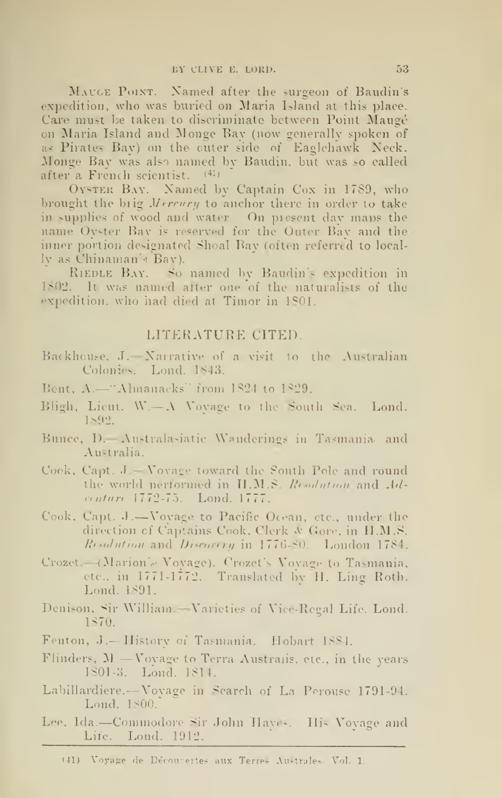MAUGE POINT. Named after the surgeon of Baudin's expedition, who was buried on Maria Island at this place. Care must be taken to discriminate between Point Maugé on Maria Island and Monge Bay (now generally spoken of a? Pirates Bay) on the cuter side of Eaglchawk Neck. Monge Bay was also named by Baudin. but was so called after a French scientist. (41)

OYSTER BAY. Named by Captain Cox in 1789, who brought the brig Mercury to anchor there in order to take in supplies of wood and water. On picscnt day maps the name Oyster Bay is reserved for the Outer Bay and the inner portion designated Shoal Bay (often referred to locally as Chinaman's Bay).

RiEDLE Bay. So named by Baudin's expedition in 1802. It was named after one of the naturalists of the expedition, who had died at Timor in 1801.

#### LITERATURE CITED.

- Backhouse. J. —Narrative of <sup>a</sup> visit to the Australian Colonies. Lond. 1843.
- Bent,  $\Lambda$ —"Almanacks" from 1824 to 1829.
- Bligh, Lieut. W.—A Vovage to the South Sea. Lond. 1&92.
- Bunce, D.—Australa^iatic Wanderings in Tasmania, and Australia.
- Cook, Capt. J. —Voyage toward the South Pole and round the world performed in  $H.M.S.$  Resolution and  $Ad$ nnture 1772-75. Lond. 1777.
- Cook, Capt. J.-Voyage to Pacific Ocean, etc., under the direction cf Captains Cook, Clerk A\* Gore, in H.M.S. Resolution and Discovery in 1776-80. London 1784.
- Crozet.—(Marion'ci Vovage). Crozct's Vovage to Tasmania, etc.. in 1771-1772. Translated by H. Ling Roth. Lond. 1891.
- Denison, Sir William.—Varieties of Vice-Regal Life. Lond. 1870.
- Fenton, J.-History of Tasmania. Hobart 1884.
- Flinders,  $M V$ ovage to Terra Australis, etc., in the years lSOl-3. Lond. 1814.
- Labillardiere. —Vovage in Search of La Porousc 1791-94. Lond. 1800."
- Lee, Ida.—Commodore Sir John Haves. His Vovage and Life. Lond. 1912.

<sup>(41)</sup> Voyage de Découvertes aux Terres Australes Vol. 1,